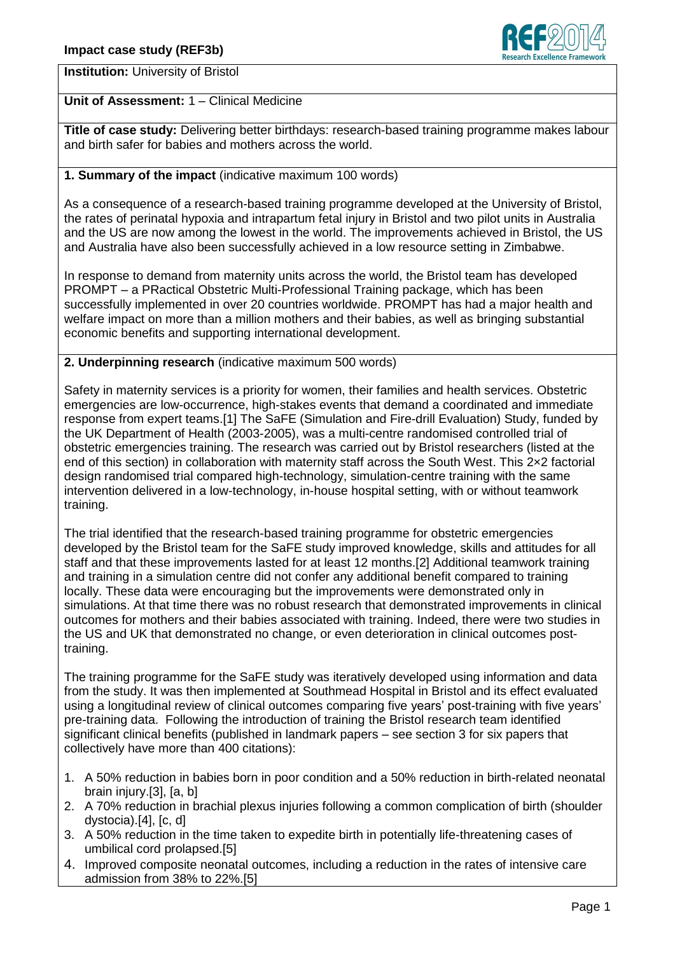

**Institution:** University of Bristol

# **Unit of Assessment:** 1 – Clinical Medicine

**Title of case study:** Delivering better birthdays: research-based training programme makes labour and birth safer for babies and mothers across the world.

# **1. Summary of the impact** (indicative maximum 100 words)

As a consequence of a research-based training programme developed at the University of Bristol, the rates of perinatal hypoxia and intrapartum fetal injury in Bristol and two pilot units in Australia and the US are now among the lowest in the world. The improvements achieved in Bristol, the US and Australia have also been successfully achieved in a low resource setting in Zimbabwe.

In response to demand from maternity units across the world, the Bristol team has developed PROMPT – a PRactical Obstetric Multi-Professional Training package, which has been successfully implemented in over 20 countries worldwide. PROMPT has had a major health and welfare impact on more than a million mothers and their babies, as well as bringing substantial economic benefits and supporting international development.

### **2. Underpinning research** (indicative maximum 500 words)

Safety in maternity services is a priority for women, their families and health services. Obstetric emergencies are low-occurrence, high-stakes events that demand a coordinated and immediate response from expert teams.[1] The SaFE (Simulation and Fire-drill Evaluation) Study, funded by the UK Department of Health (2003-2005), was a multi-centre randomised controlled trial of obstetric emergencies training. The research was carried out by Bristol researchers (listed at the end of this section) in collaboration with maternity staff across the South West. This 2x2 factorial design randomised trial compared high-technology, simulation-centre training with the same intervention delivered in a low-technology, in-house hospital setting, with or without teamwork training.

The trial identified that the research-based training programme for obstetric emergencies developed by the Bristol team for the SaFE study improved knowledge, skills and attitudes for all staff and that these improvements lasted for at least 12 months.[2] Additional teamwork training and training in a simulation centre did not confer any additional benefit compared to training locally. These data were encouraging but the improvements were demonstrated only in simulations. At that time there was no robust research that demonstrated improvements in clinical outcomes for mothers and their babies associated with training. Indeed, there were two studies in the US and UK that demonstrated no change, or even deterioration in clinical outcomes posttraining.

The training programme for the SaFE study was iteratively developed using information and data from the study. It was then implemented at Southmead Hospital in Bristol and its effect evaluated using a longitudinal review of clinical outcomes comparing five years' post-training with five years' pre-training data. Following the introduction of training the Bristol research team identified significant clinical benefits (published in landmark papers – see section 3 for six papers that collectively have more than 400 citations):

- 1. A 50% reduction in babies born in poor condition and a 50% reduction in birth-related neonatal brain injury.[3], [a, b]
- 2. A 70% reduction in brachial plexus injuries following a common complication of birth (shoulder dystocia).[4], [c, d]
- 3. A 50% reduction in the time taken to expedite birth in potentially life-threatening cases of umbilical cord prolapsed.[5]
- 4. Improved composite neonatal outcomes, including a reduction in the rates of intensive care admission from 38% to 22%.[5]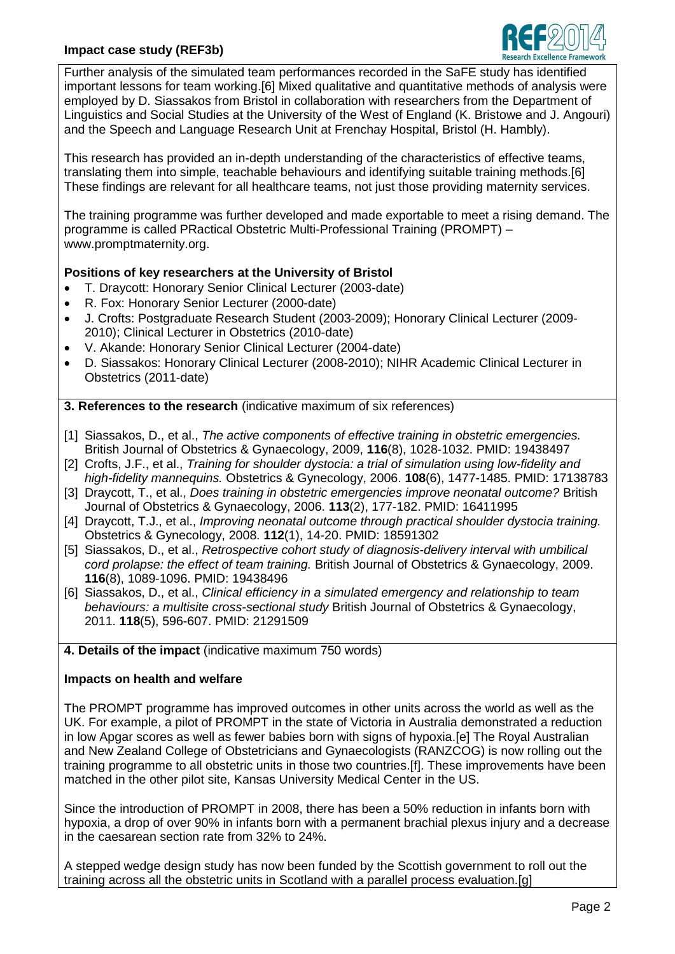# **Impact case study (REF3b)**



Further analysis of the simulated team performances recorded in the SaFE study has identified important lessons for team working.[6] Mixed qualitative and quantitative methods of analysis were employed by D. Siassakos from Bristol in collaboration with researchers from the Department of Linguistics and Social Studies at the University of the West of England (K. Bristowe and J. Angouri) and the Speech and Language Research Unit at Frenchay Hospital, Bristol (H. Hambly).

This research has provided an in-depth understanding of the characteristics of effective teams, translating them into simple, teachable behaviours and identifying suitable training methods.[6] These findings are relevant for all healthcare teams, not just those providing maternity services.

The training programme was further developed and made exportable to meet a rising demand. The programme is called PRactical Obstetric Multi-Professional Training (PROMPT) – www.promptmaternity.org.

### **Positions of key researchers at the University of Bristol**

- T. Draycott: Honorary Senior Clinical Lecturer (2003-date)
- R. Fox: Honorary Senior Lecturer (2000-date)
- J. Crofts: Postgraduate Research Student (2003-2009); Honorary Clinical Lecturer (2009- 2010); Clinical Lecturer in Obstetrics (2010-date)
- V. Akande: Honorary Senior Clinical Lecturer (2004-date)
- D. Siassakos: Honorary Clinical Lecturer (2008-2010); NIHR Academic Clinical Lecturer in Obstetrics (2011-date)

**3. References to the research** (indicative maximum of six references)

- [1] Siassakos, D., et al., *The active components of effective training in obstetric emergencies.*  British Journal of Obstetrics & Gynaecology, 2009, **116**(8), 1028-1032. PMID: 19438497
- [2] Crofts, J.F., et al., *Training for shoulder dystocia: a trial of simulation using low-fidelity and high-fidelity mannequins.* Obstetrics & Gynecology, 2006. **108**(6), 1477-1485. PMID: 17138783
- [3] Draycott, T., et al., *Does training in obstetric emergencies improve neonatal outcome?* British Journal of Obstetrics & Gynaecology, 2006. **113**(2), 177-182. PMID: 16411995
- [4] Draycott, T.J., et al., *Improving neonatal outcome through practical shoulder dystocia training.*  Obstetrics & Gynecology, 2008. **112**(1), 14-20. PMID: 18591302
- [5] Siassakos, D., et al., *Retrospective cohort study of diagnosis-delivery interval with umbilical cord prolapse: the effect of team training.* British Journal of Obstetrics & Gynaecology, 2009. **116**(8), 1089-1096. PMID: 19438496
- [6] Siassakos, D., et al., *Clinical efficiency in a simulated emergency and relationship to team behaviours: a multisite cross-sectional study* British Journal of Obstetrics & Gynaecology, 2011. **118**(5), 596-607. PMID: 21291509

#### **4. Details of the impact** (indicative maximum 750 words)

### **Impacts on health and welfare**

The PROMPT programme has improved outcomes in other units across the world as well as the UK. For example, a pilot of PROMPT in the state of Victoria in Australia demonstrated a reduction in low Apgar scores as well as fewer babies born with signs of hypoxia.[e] The Royal Australian and New Zealand College of Obstetricians and Gynaecologists (RANZCOG) is now rolling out the training programme to all obstetric units in those two countries.[f]. These improvements have been matched in the other pilot site, Kansas University Medical Center in the US.

Since the introduction of PROMPT in 2008, there has been a 50% reduction in infants born with hypoxia, a drop of over 90% in infants born with a permanent brachial plexus injury and a decrease in the caesarean section rate from 32% to 24%.

A stepped wedge design study has now been funded by the Scottish government to roll out the training across all the obstetric units in Scotland with a parallel process evaluation.[g]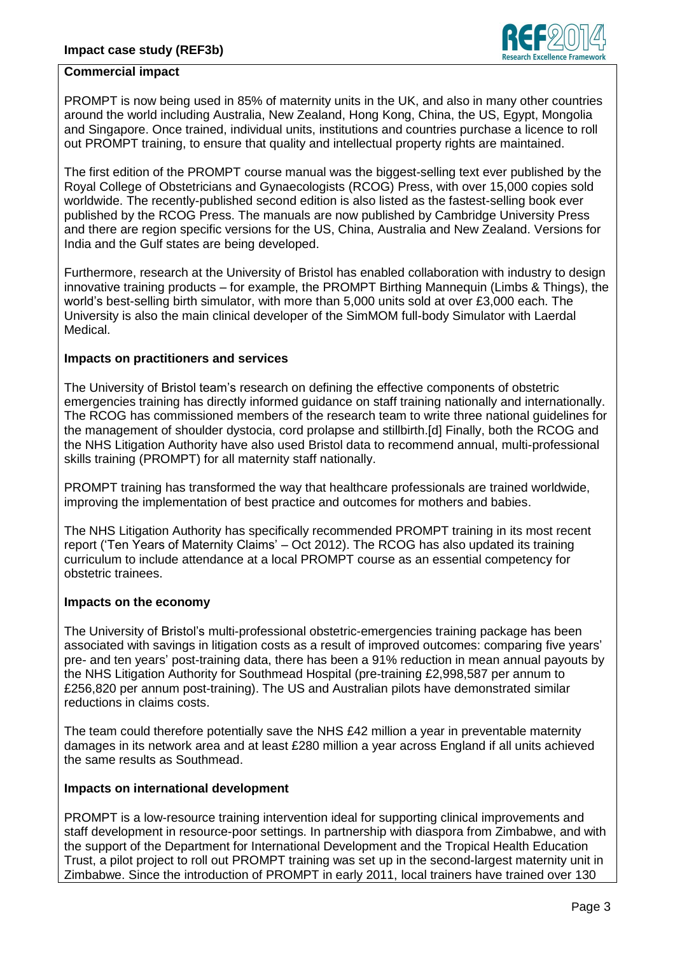

### **Commercial impact**

PROMPT is now being used in 85% of maternity units in the UK, and also in many other countries around the world including Australia, New Zealand, Hong Kong, China, the US, Egypt, Mongolia and Singapore. Once trained, individual units, institutions and countries purchase a licence to roll out PROMPT training, to ensure that quality and intellectual property rights are maintained.

The first edition of the PROMPT course manual was the biggest-selling text ever published by the Royal College of Obstetricians and Gynaecologists (RCOG) Press, with over 15,000 copies sold worldwide. The recently-published second edition is also listed as the fastest-selling book ever published by the RCOG Press. The manuals are now published by Cambridge University Press and there are region specific versions for the US, China, Australia and New Zealand. Versions for India and the Gulf states are being developed.

Furthermore, research at the University of Bristol has enabled collaboration with industry to design innovative training products – for example, the PROMPT Birthing Mannequin (Limbs & Things), the world's best-selling birth simulator, with more than 5,000 units sold at over £3,000 each. The University is also the main clinical developer of the SimMOM full-body Simulator with Laerdal Medical.

#### **Impacts on practitioners and services**

The University of Bristol team's research on defining the effective components of obstetric emergencies training has directly informed guidance on staff training nationally and internationally. The RCOG has commissioned members of the research team to write three national guidelines for the management of shoulder dystocia, cord prolapse and stillbirth.[d] Finally, both the RCOG and the NHS Litigation Authority have also used Bristol data to recommend annual, multi-professional skills training (PROMPT) for all maternity staff nationally.

PROMPT training has transformed the way that healthcare professionals are trained worldwide, improving the implementation of best practice and outcomes for mothers and babies.

The NHS Litigation Authority has specifically recommended PROMPT training in its most recent report ('Ten Years of Maternity Claims' – Oct 2012). The RCOG has also updated its training curriculum to include attendance at a local PROMPT course as an essential competency for obstetric trainees.

#### **Impacts on the economy**

The University of Bristol's multi-professional obstetric-emergencies training package has been associated with savings in litigation costs as a result of improved outcomes: comparing five years' pre- and ten years' post-training data, there has been a 91% reduction in mean annual payouts by the NHS Litigation Authority for Southmead Hospital (pre-training £2,998,587 per annum to £256,820 per annum post-training). The US and Australian pilots have demonstrated similar reductions in claims costs.

The team could therefore potentially save the NHS £42 million a year in preventable maternity damages in its network area and at least £280 million a year across England if all units achieved the same results as Southmead.

#### **Impacts on international development**

PROMPT is a low-resource training intervention ideal for supporting clinical improvements and staff development in resource-poor settings. In partnership with diaspora from Zimbabwe, and with the support of the Department for International Development and the Tropical Health Education Trust, a pilot project to roll out PROMPT training was set up in the second-largest maternity unit in Zimbabwe. Since the introduction of PROMPT in early 2011, local trainers have trained over 130